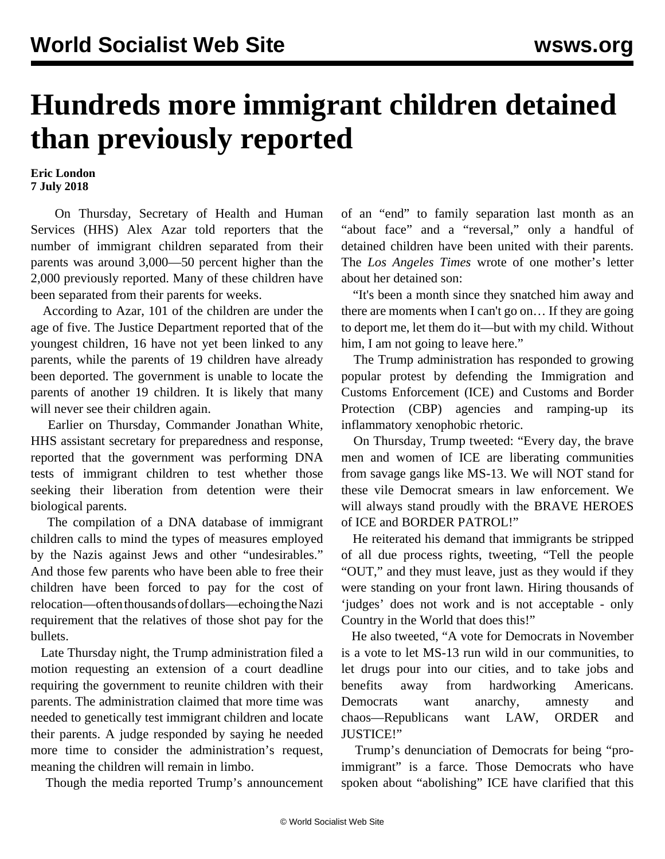## **Hundreds more immigrant children detained than previously reported**

**Eric London 7 July 2018**

 On Thursday, Secretary of Health and Human Services (HHS) Alex Azar told reporters that the number of immigrant children separated from their parents was around 3,000—50 percent higher than the 2,000 previously reported. Many of these children have been separated from their parents for weeks.

 According to Azar, 101 of the children are under the age of five. The Justice Department reported that of the youngest children, 16 have not yet been linked to any parents, while the parents of 19 children have already been deported. The government is unable to locate the parents of another 19 children. It is likely that many will never see their children again.

 Earlier on Thursday, Commander Jonathan White, HHS assistant secretary for preparedness and response, reported that the government was performing DNA tests of immigrant children to test whether those seeking their liberation from detention were their biological parents.

 The compilation of a DNA database of immigrant children calls to mind the types of measures employed by the Nazis against Jews and other "undesirables." And those few parents who have been able to free their children have been forced to pay for the cost of relocation—often thousands of dollars—echoing the Nazi requirement that the relatives of those shot pay for the bullets.

 Late Thursday night, the Trump administration filed a motion requesting an extension of a court deadline requiring the government to reunite children with their parents. The administration claimed that more time was needed to genetically test immigrant children and locate their parents. A judge responded by saying he needed more time to consider the administration's request, meaning the children will remain in limbo.

Though the media reported Trump's announcement

of an "end" to family separation last month as an "about face" and a "reversal," only a handful of detained children have been united with their parents. The *Los Angeles Times* wrote of one mother's letter about her detained son:

 "It's been a month since they snatched him away and there are moments when I can't go on… If they are going to deport me, let them do it—but with my child. Without him, I am not going to leave here."

 The Trump administration has responded to growing popular protest by defending the Immigration and Customs Enforcement (ICE) and Customs and Border Protection (CBP) agencies and ramping-up its inflammatory xenophobic rhetoric.

 On Thursday, Trump tweeted: "Every day, the brave men and women of ICE are liberating communities from savage gangs like MS-13. We will NOT stand for these vile Democrat smears in law enforcement. We will always stand proudly with the BRAVE HEROES of ICE and BORDER PATROL!"

 He reiterated his demand that immigrants be stripped of all due process rights, tweeting, "Tell the people "OUT," and they must leave, just as they would if they were standing on your front lawn. Hiring thousands of 'judges' does not work and is not acceptable - only Country in the World that does this!"

 He also tweeted, "A vote for Democrats in November is a vote to let MS-13 run wild in our communities, to let drugs pour into our cities, and to take jobs and benefits away from hardworking Americans. Democrats want anarchy, amnesty and chaos—Republicans want LAW, ORDER and JUSTICE!"

 Trump's denunciation of Democrats for being "proimmigrant" is a farce. Those Democrats who have spoken about "abolishing" ICE have clarified that this